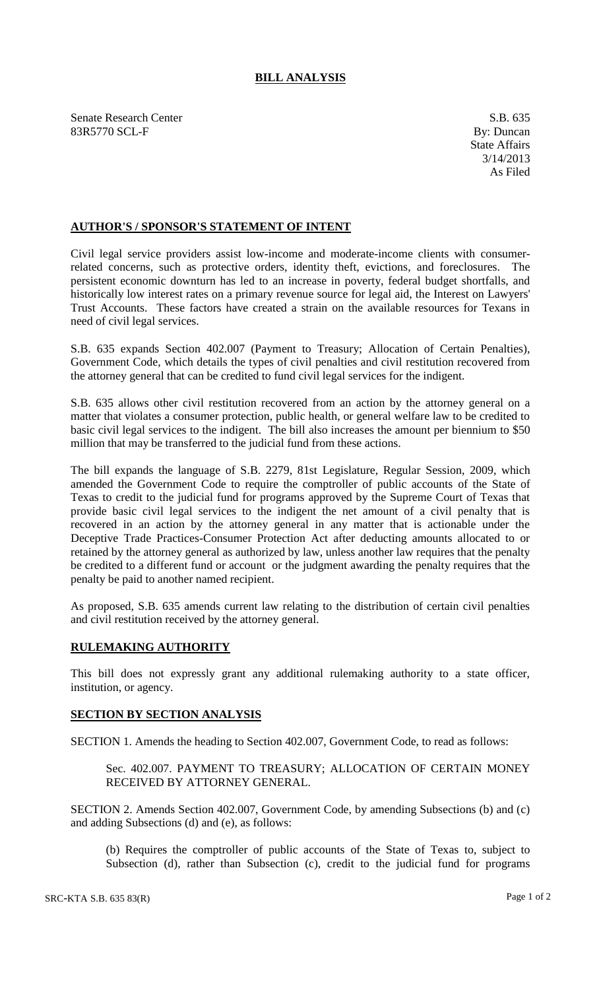## **BILL ANALYSIS**

Senate Research Center S.B. 635 83R5770 SCL-F By: Duncan

## **AUTHOR'S / SPONSOR'S STATEMENT OF INTENT**

Civil legal service providers assist low-income and moderate-income clients with consumerrelated concerns, such as protective orders, identity theft, evictions, and foreclosures. The persistent economic downturn has led to an increase in poverty, federal budget shortfalls, and historically low interest rates on a primary revenue source for legal aid, the Interest on Lawyers' Trust Accounts. These factors have created a strain on the available resources for Texans in need of civil legal services.

S.B. 635 expands Section 402.007 (Payment to Treasury; Allocation of Certain Penalties), Government Code, which details the types of civil penalties and civil restitution recovered from the attorney general that can be credited to fund civil legal services for the indigent.

S.B. 635 allows other civil restitution recovered from an action by the attorney general on a matter that violates a consumer protection, public health, or general welfare law to be credited to basic civil legal services to the indigent. The bill also increases the amount per biennium to \$50 million that may be transferred to the judicial fund from these actions.

The bill expands the language of S.B. 2279, 81st Legislature, Regular Session, 2009, which amended the Government Code to require the comptroller of public accounts of the State of Texas to credit to the judicial fund for programs approved by the Supreme Court of Texas that provide basic civil legal services to the indigent the net amount of a civil penalty that is recovered in an action by the attorney general in any matter that is actionable under the Deceptive Trade Practices-Consumer Protection Act after deducting amounts allocated to or retained by the attorney general as authorized by law, unless another law requires that the penalty be credited to a different fund or account or the judgment awarding the penalty requires that the penalty be paid to another named recipient.

As proposed, S.B. 635 amends current law relating to the distribution of certain civil penalties and civil restitution received by the attorney general.

## **RULEMAKING AUTHORITY**

This bill does not expressly grant any additional rulemaking authority to a state officer, institution, or agency.

## **SECTION BY SECTION ANALYSIS**

SECTION 1. Amends the heading to Section 402.007, Government Code, to read as follows:

Sec. 402.007. PAYMENT TO TREASURY; ALLOCATION OF CERTAIN MONEY RECEIVED BY ATTORNEY GENERAL.

SECTION 2. Amends Section 402.007, Government Code, by amending Subsections (b) and (c) and adding Subsections (d) and (e), as follows:

(b) Requires the comptroller of public accounts of the State of Texas to, subject to Subsection (d), rather than Subsection (c), credit to the judicial fund for programs